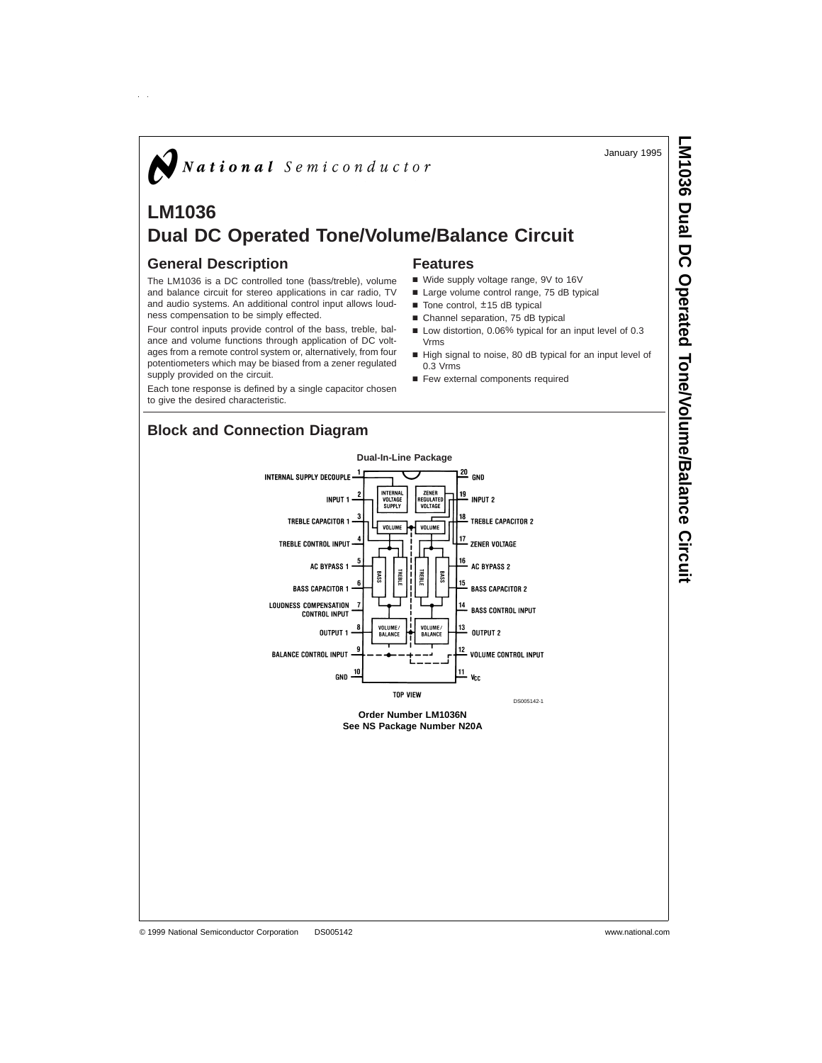January 1995

**LM1036 Dual DC Operated**

 **Tone/Volume/Balance**

 **Circuit**

# $\bigotimes$  National Semiconductor

# **LM1036 Dual DC Operated Tone/Volume/Balance Circuit**

### **General Description**

The LM1036 is a DC controlled tone (bass/treble), volume and balance circuit for stereo applications in car radio, TV and audio systems. An additional control input allows loudness compensation to be simply effected.

Four control inputs provide control of the bass, treble, balance and volume functions through application of DC voltages from a remote control system or, alternatively, from four potentiometers which may be biased from a zener regulated supply provided on the circuit.

Each tone response is defined by a single capacitor chosen to give the desired characteristic.

# **Block and Connection Diagram**

#### **Dual-In-Line Package**  $\frac{20}{3}$  GND INTERNAL<br>VOLTAGE<br>SUPPLY ZENER<br>Regulated<br>Voltage 19 **INPIIT 1 INPIIT 2** 18 TREBLE CAPACITOR 1 **TREBLE CAPACITOR 2** VOLUME VOLUME TREBLE CONTROL INPUT ZENER VOLTAGE **AC RYPASS 1** AC RYPASS 2 **BASS** BASS **BASS CAPACITOR 1 BASS CAPACITOR 2** LOUDNESS COMPENSATION 14 **BASS CONTROL INPUT** CONTROL INPUT VOLUME/<br>BALANCE  $\frac{13}{2}$ .<br>Volume<br>Rai ance **OUTPUT** OUTPUT 2 12 **BALANCE CONTROL INPUT** 11  $GND V_{\text{C}}$

# **Features**

- Wide supply voltage range, 9V to 16V
- Large volume control range, 75 dB typical
- $\blacksquare$  Tone control,  $\pm 15$  dB typical
- Channel separation, 75 dB typical
- Low distortion, 0.06% typical for an input level of 0.3 Vrms
- High signal to noise, 80 dB typical for an input level of 0.3 Vrms
- Few external components required

© 1999 National Semiconductor Corporation DS005142 www.national.com

INTERNAL SUPPLY DECOUPLE **VOLUME CONTROL INPUT TOP VIEW** DS005142-1 **Order Number LM1036N See NS Package Number N20A**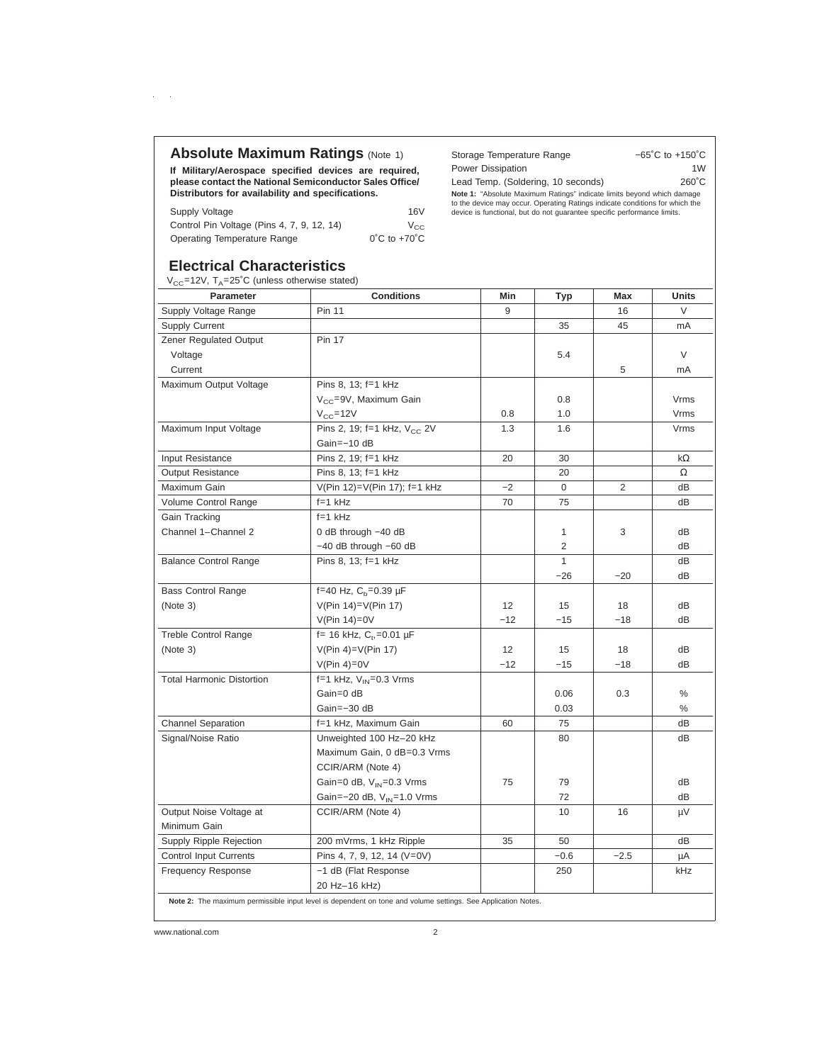## **Absolute Maximum Ratings (Note 1)**

**If Military/Aerospace specified devices are required, please contact the National Semiconductor Sales Office/ Distributors for availability and specifications.**

| Supply Voltage                             | 16V                               |
|--------------------------------------------|-----------------------------------|
| Control Pin Voltage (Pins 4, 7, 9, 12, 14) | $V_{CC}$                          |
| <b>Operating Temperature Range</b>         | $0^{\circ}$ C to +70 $^{\circ}$ C |

# Storage Temperature Range −65˚C to +150˚C Power Dissipation 1W Lead Temp. (Soldering, 10 seconds) 260°C **Note 1:** "Absolute Maximum Ratings" indicate limits beyond which damage<br>to the device may occur. Operating Ratings indicate conditions for which the<br>device is functional, but do not guarantee specific performance limits.

# **Electrical Characteristics**

 $\alpha=1/2$ 

 $V_{CC}$ =12V,  $T_A$ =25°C (unless otherwise stated)

| <b>Parameter</b>                 | <b>Conditions</b>                                                                                            | Min   | <b>Typ</b>     | Max            | Units     |
|----------------------------------|--------------------------------------------------------------------------------------------------------------|-------|----------------|----------------|-----------|
| Supply Voltage Range             | <b>Pin 11</b>                                                                                                | 9     |                | 16             | $\vee$    |
| <b>Supply Current</b>            |                                                                                                              |       | 35             | 45             | mA        |
| Zener Regulated Output           | <b>Pin 17</b>                                                                                                |       |                |                |           |
| Voltage                          |                                                                                                              |       | 5.4            |                | $\vee$    |
| Current                          |                                                                                                              |       |                | 5              | mA        |
| Maximum Output Voltage           | Pins 8, 13; f=1 kHz                                                                                          |       |                |                |           |
|                                  | V <sub>CC</sub> =9V, Maximum Gain                                                                            |       | 0.8            |                | Vrms      |
|                                  | $V_{CC} = 12V$                                                                                               | 0.8   | 1.0            |                | Vrms      |
| Maximum Input Voltage            | Pins 2, 19; f=1 kHz, V <sub>cc</sub> 2V                                                                      | 1.3   | 1.6            |                | Vrms      |
|                                  | Gain=-10 dB                                                                                                  |       |                |                |           |
| Input Resistance                 | Pins 2, 19; f=1 kHz                                                                                          | 20    | 30             |                | $k\Omega$ |
| <b>Output Resistance</b>         | Pins 8, 13; f=1 kHz                                                                                          |       | 20             |                | Ω         |
| Maximum Gain                     | V(Pin 12)=V(Pin 17); f=1 kHz                                                                                 | $-2$  | 0              | $\overline{2}$ | dB        |
| Volume Control Range             | $f=1$ kHz                                                                                                    | 70    | 75             |                | dB        |
| Gain Tracking                    | $f = 1$ kHz                                                                                                  |       |                |                |           |
| Channel 1-Channel 2              | 0 dB through -40 dB                                                                                          |       | 1              | 3              | dB        |
|                                  | -40 dB through -60 dB                                                                                        |       | $\overline{2}$ |                | dB        |
| <b>Balance Control Range</b>     | Pins 8, 13; f=1 kHz                                                                                          |       | $\mathbf{1}$   |                | dB        |
|                                  |                                                                                                              |       | $-26$          | $-20$          | dB        |
| <b>Bass Control Range</b>        | f=40 Hz, $C_b$ =0.39 µF                                                                                      |       |                |                |           |
| (Note 3)                         | $V(Pin 14)=V(Pin 17)$                                                                                        | 12    | 15             | 18             | dB        |
|                                  | $V(Pin 14)=0V$                                                                                               | $-12$ | $-15$          | $-18$          | dB        |
| <b>Treble Control Range</b>      | f= 16 kHz, $C_t$ , =0.01 µF                                                                                  |       |                |                |           |
| (Note 3)                         | $V(Pin 4)=V(Pin 17)$                                                                                         | 12    | 15             | 18             | dВ        |
|                                  | $V(Pin 4)=0V$                                                                                                | $-12$ | $-15$          | $-18$          | dB        |
| <b>Total Harmonic Distortion</b> | f=1 kHz, $V_{IN} = 0.3$ Vrms                                                                                 |       |                |                |           |
|                                  | Gain=0 dB                                                                                                    |       | 0.06           | 0.3            | %         |
|                                  | Gain=-30 dB                                                                                                  |       | 0.03           |                | $\%$      |
| <b>Channel Separation</b>        | f=1 kHz, Maximum Gain                                                                                        | 60    | 75             |                | dB        |
| Signal/Noise Ratio               | Unweighted 100 Hz-20 kHz                                                                                     |       | 80             |                | dB        |
|                                  | Maximum Gain, 0 dB=0.3 Vrms                                                                                  |       |                |                |           |
|                                  | CCIR/ARM (Note 4)                                                                                            |       |                |                |           |
|                                  | Gain=0 dB, $V_{IN}$ =0.3 Vrms                                                                                | 75    | 79             |                | dВ        |
|                                  | Gain=-20 dB, V <sub>IN</sub> =1.0 Vrms                                                                       |       | 72             |                | dB        |
| Output Noise Voltage at          | CCIR/ARM (Note 4)                                                                                            |       | 10             | 16             | μV        |
| Minimum Gain                     |                                                                                                              |       |                |                |           |
| Supply Ripple Rejection          | 200 mVrms, 1 kHz Ripple                                                                                      | 35    | 50             |                | dB        |
| <b>Control Input Currents</b>    | Pins 4, 7, 9, 12, 14 (V=0V)                                                                                  |       | $-0.6$         | $-2.5$         | μA        |
| <b>Frequency Response</b>        | -1 dB (Flat Response                                                                                         |       | 250            |                | kHz       |
|                                  | 20 Hz-16 kHz)                                                                                                |       |                |                |           |
|                                  | Note 2: The maximum permissible input level is dependent on tone and volume settings. See Application Notes. |       |                |                |           |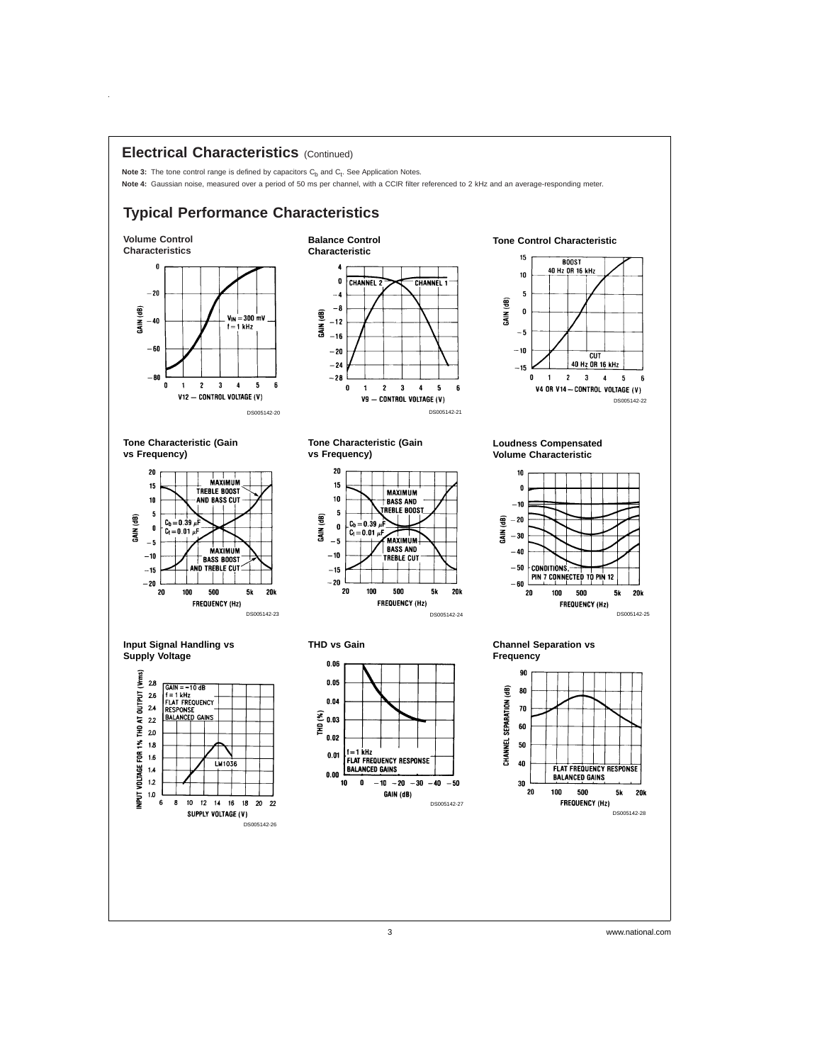### **Electrical Characteristics** (Continued)

Note 3: The tone control range is defined by capacitors C<sub>b</sub> and C<sub>t</sub>. See Application Notes. Note 4: Gaussian noise, measured over a period of 50 ms per channel, with a CCIR filter referenced to 2 kHz and an average-responding meter.

# **Typical Performance Characteristics**

DS005142-20







**Tone Characteristic (Gain vs Frequency)**

 $\hat{\boldsymbol{\theta}}$ 



**Input Signal Handling vs Supply Voltage**





**Tone Characteristic (Gain**

DS005142-24





**Loudness Compensated Volume Characteristic**



**Channel Separation vs Frequency**



3 www.national.com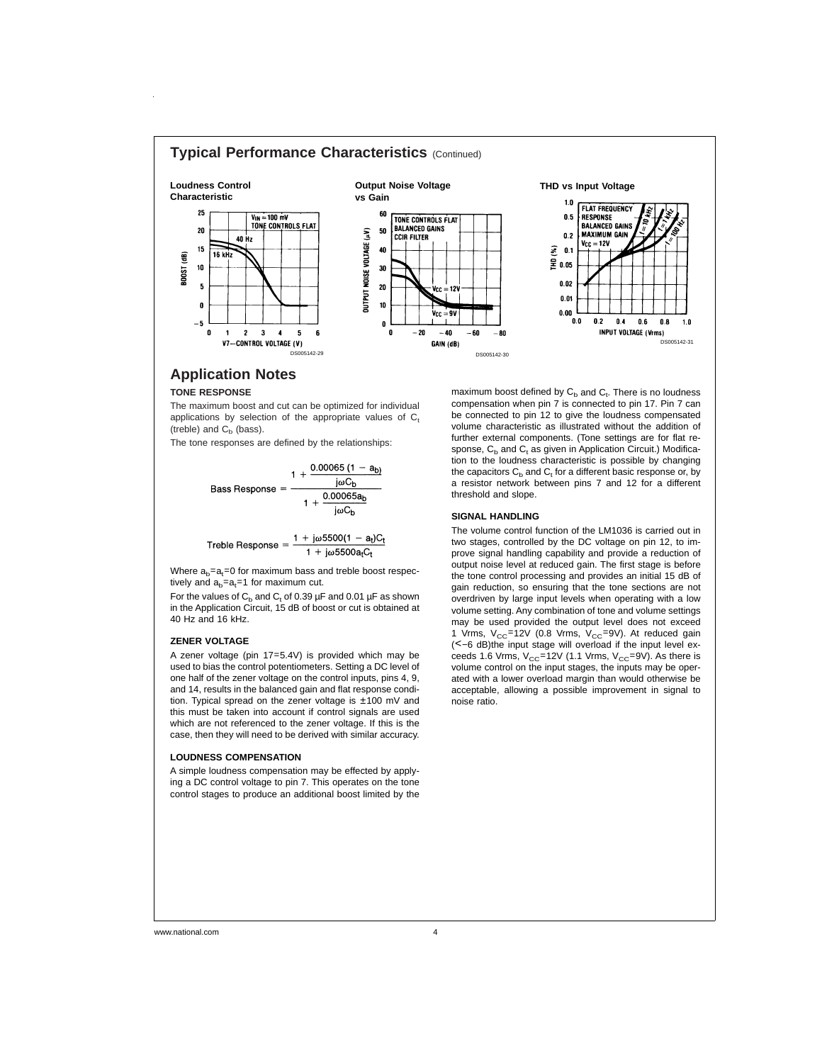

# **Application Notes**

### **TONE RESPONSE**

The maximum boost and cut can be optimized for individual applications by selection of the appropriate values of  $C<sub>t</sub>$ (treble) and  $C_b$  (bass).

The tone responses are defined by the relationships:

 $1 + \frac{0.00065 (1 - a_{b})}{4}$  $j\omega C_b$ Bass Response = 0.00065ab  $1 +$  $j\omega C_b$ 

$$
\text{Treble Response} = \frac{1 + j\omega 5500(1 - a_t)C_t}{1 + j\omega 5500a_tC_t}
$$

Where  $a_b = a_t = 0$  for maximum bass and treble boost respectively and  $a_b = a_t = 1$  for maximum cut.

For the values of  $C_b$  and  $C_t$  of 0.39 µF and 0.01 µF as shown in the Application Circuit, 15 dB of boost or cut is obtained at 40 Hz and 16 kHz.

#### **ZENER VOLTAGE**

A zener voltage (pin 17=5.4V) is provided which may be used to bias the control potentiometers. Setting a DC level of one half of the zener voltage on the control inputs, pins 4, 9, and 14, results in the balanced gain and flat response condition. Typical spread on the zener voltage is ±100 mV and this must be taken into account if control signals are used which are not referenced to the zener voltage. If this is the case, then they will need to be derived with similar accuracy.

#### **LOUDNESS COMPENSATION**

A simple loudness compensation may be effected by applying a DC control voltage to pin 7. This operates on the tone control stages to produce an additional boost limited by the

maximum boost defined by  $\mathsf{C}_\mathsf{b}$  and  $\mathsf{C}_\mathsf{t}.$  There is no loudness compensation when pin 7 is connected to pin 17. Pin 7 can be connected to pin 12 to give the loudness compensated volume characteristic as illustrated without the addition of further external components. (Tone settings are for flat response,  $C_b$  and  $C_t$  as given in Application Circuit.) Modification to the loudness characteristic is possible by changing the capacitors  $C_b$  and  $C_t$  for a different basic response or, by a resistor network between pins 7 and 12 for a different threshold and slope.

#### **SIGNAL HANDLING**

The volume control function of the LM1036 is carried out in two stages, controlled by the DC voltage on pin 12, to improve signal handling capability and provide a reduction of output noise level at reduced gain. The first stage is before the tone control processing and provides an initial 15 dB of gain reduction, so ensuring that the tone sections are not overdriven by large input levels when operating with a low volume setting. Any combination of tone and volume settings may be used provided the output level does not exceed 1 Vrms,  $V_{CC}$ =12V (0.8 Vrms,  $V_{CC}$ =9V). At reduced gain (<−6 dB)the input stage will overload if the input level exceeds 1.6 Vrms,  $V_{CC}$ =12V (1.1 Vrms,  $V_{CC}$ =9V). As there is volume control on the input stages, the inputs may be operated with a lower overload margin than would otherwise be acceptable, allowing a possible improvement in signal to noise ratio.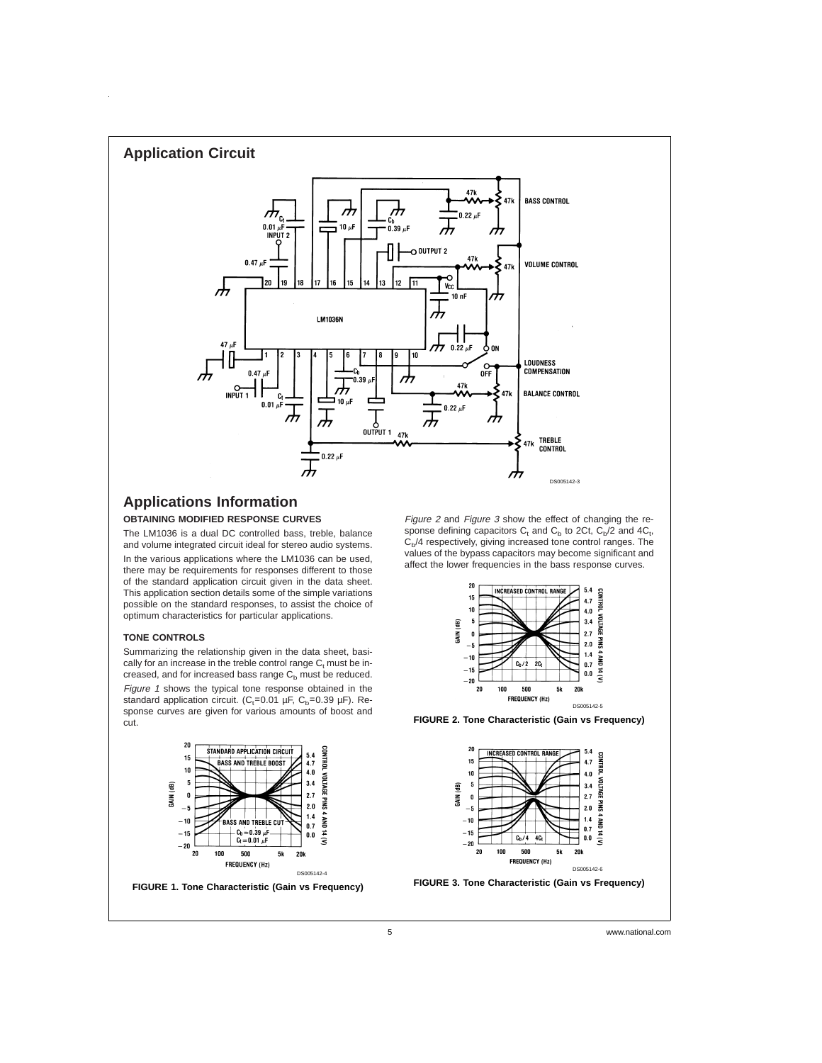

# **Applications Information**

### **OBTAINING MODIFIED RESPONSE CURVES**

The LM1036 is a dual DC controlled bass, treble, balance and volume integrated circuit ideal for stereo audio systems. In the various applications where the LM1036 can be used, there may be requirements for responses different to those of the standard application circuit given in the data sheet. This application section details some of the simple variations possible on the standard responses, to assist the choice of optimum characteristics for particular applications.

#### **TONE CONTROLS**

 $\hat{\mathbf{r}}$ 

Summarizing the relationship given in the data sheet, basically for an increase in the treble control range  $C<sub>t</sub>$  must be increased, and for increased bass range  $C_b$  must be reduced. Figure 1 shows the typical tone response obtained in the standard application circuit. ( $C_t$ =0.01 µF,  $C_b$ =0.39 µF). Response curves are given for various amounts of boost and cut.



**FIGURE 1. Tone Characteristic (Gain vs Frequency)**

Figure <sup>2</sup> and Figure 3 show the effect of changing the response defining capacitors  $C_t$  and  $C_b$  to 2Ct,  $C_b/2$  and 4 $C_t$ ,  $C<sub>b</sub>/4$  respectively, giving increased tone control ranges. The values of the bypass capacitors may become significant and affect the lower frequencies in the bass response curves.



**FIGURE 2. Tone Characteristic (Gain vs Frequency)**



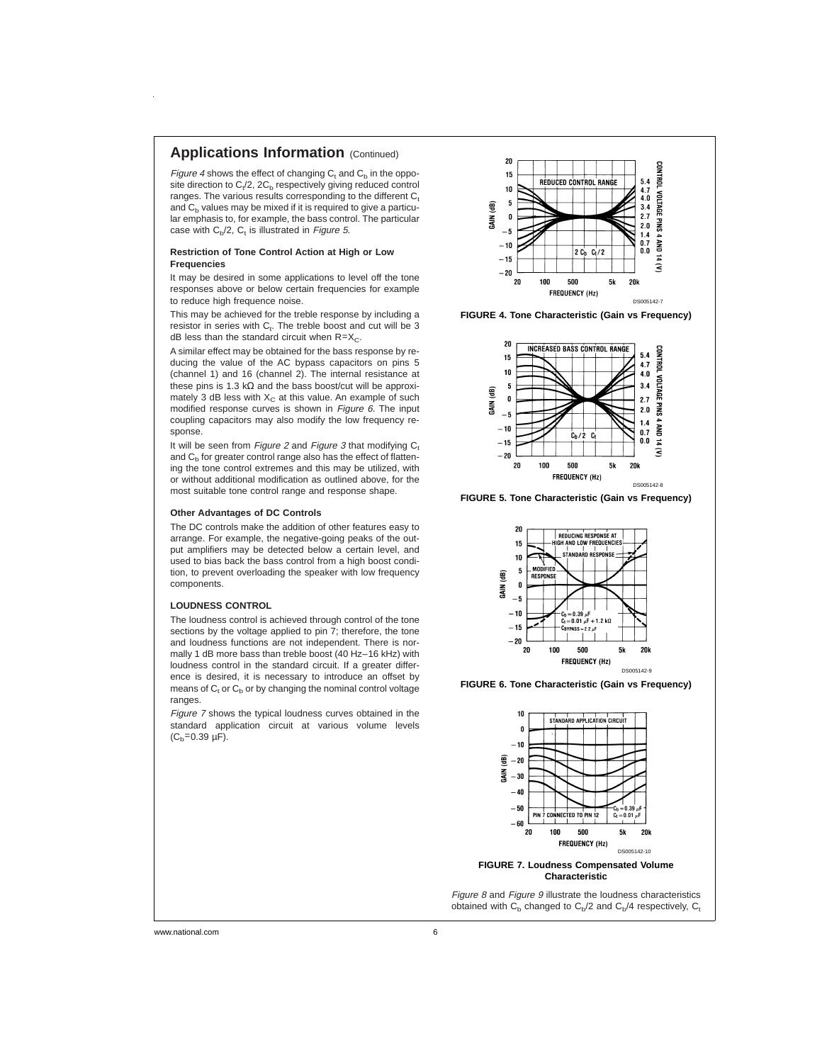### **Applications Information** (Continued)

Figure 4 shows the effect of changing  $C_t$  and  $C_b$  in the opposite direction to  $C_t/2$ , 2 $C_b$  respectively giving reduced control ranges. The various results corresponding to the different  $C<sub>t</sub>$ and  $C<sub>b</sub>$  values may be mixed if it is required to give a particular emphasis to, for example, the bass control. The particular case with  $C_b/2$ ,  $C_t$  is illustrated in *Figure 5*.

#### **Restriction of Tone Control Action at High or Low Frequencies**

It may be desired in some applications to level off the tone responses above or below certain frequencies for example to reduce high frequence noise.

This may be achieved for the treble response by including a resistor in series with  $C_t$ . The treble boost and cut will be 3 dB less than the standard circuit when  $R=X<sub>C</sub>$ .

A similar effect may be obtained for the bass response by reducing the value of the AC bypass capacitors on pins 5 (channel 1) and 16 (channel 2). The internal resistance at these pins is 1.3 kΩ and the bass boost/cut will be approximately 3 dB less with  $X<sub>C</sub>$  at this value. An example of such modified response curves is shown in Figure 6. The input coupling capacitors may also modify the low frequency response.

It will be seen from Figure 2 and Figure 3 that modifying  $C_t$ and  $C<sub>b</sub>$  for greater control range also has the effect of flattening the tone control extremes and this may be utilized, with or without additional modification as outlined above, for the most suitable tone control range and response shape.

#### **Other Advantages of DC Controls**

The DC controls make the addition of other features easy to arrange. For example, the negative-going peaks of the output amplifiers may be detected below a certain level, and used to bias back the bass control from a high boost condition, to prevent overloading the speaker with low frequency components.

#### **LOUDNESS CONTROL**

The loudness control is achieved through control of the tone sections by the voltage applied to pin  $\overline{7}$ ; therefore, the tone and loudness functions are not independent. There is normally 1 dB more bass than treble boost (40 Hz–16 kHz) with loudness control in the standard circuit. If a greater difference is desired, it is necessary to introduce an offset by means of  $C_t$  or  $C_b$  or by changing the nominal control voltage ranges.

Figure <sup>7</sup> shows the typical loudness curves obtained in the standard application circuit at various volume levels  $(C_b=0.39 \mu F)$ .



**FIGURE 4. Tone Characteristic (Gain vs Frequency)**



**FIGURE 5. Tone Characteristic (Gain vs Frequency)**



**FIGURE 6. Tone Characteristic (Gain vs Frequency)**



**FIGURE 7. Loudness Compensated Volume Characteristic**

Figure 8 and Figure 9 illustrate the loudness characteristics obtained with  $C_b$  changed to  $C_b/2$  and  $C_b/4$  respectively,  $C_t$ 

www.national.com 6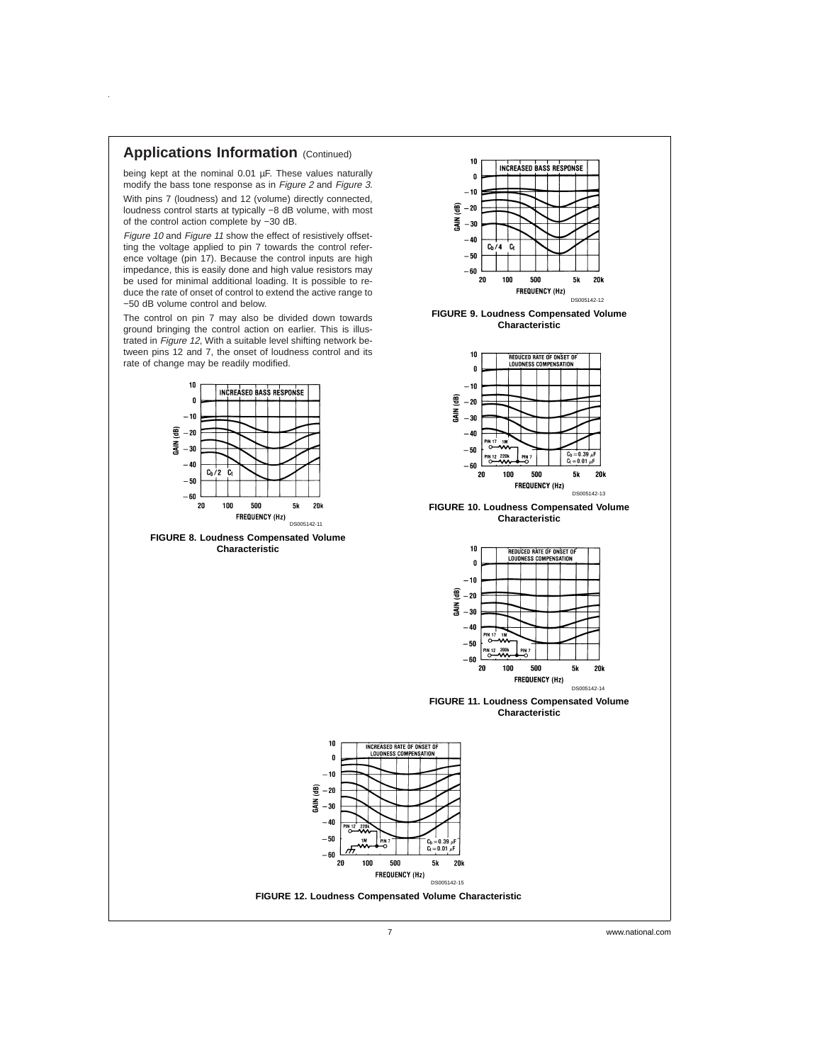### **Applications Information** (Continued)

 $\ddot{\phantom{1}}$ 

being kept at the nominal 0.01 µF. These values naturally modify the bass tone response as in Figure <sup>2</sup> and Figure 3. With pins 7 (loudness) and 12 (volume) directly connected, loudness control starts at typically −8 dB volume, with most of the control action complete by −30 dB.

Figure 10 and Figure 11 show the effect of resistively offsetting the voltage applied to pin 7 towards the control reference voltage (pin 17). Because the control inputs are high impedance, this is easily done and high value resistors may be used for minimal additional loading. It is possible to reduce the rate of onset of control to extend the active range to −50 dB volume control and below.

The control on pin 7 may also be divided down towards ground bringing the control action on earlier. This is illustrated in Figure <sup>12</sup>, With a suitable level shifting network between pins 12 and 7, the onset of loudness control and its rate of change may be readily modified.



7 www.national.com

DS005142-12

5k  $20<sub>b</sub>$ 

**FIGURE 9. Loudness Compensated Volume Characteristic**

500

FREQUENCY (Hz)

REDUCED RATE OF ONSET OF

**INCREASED BASS RESPONSE** 

 $10$ 

 $\mathbf{a}$  $-10$ e  $-20$ 롫 -30  $-40$  $C_b/4$ .<br>G

 $-50$  $-60$  ${\bf 20}$  ${\bf 100}$ 

 $10$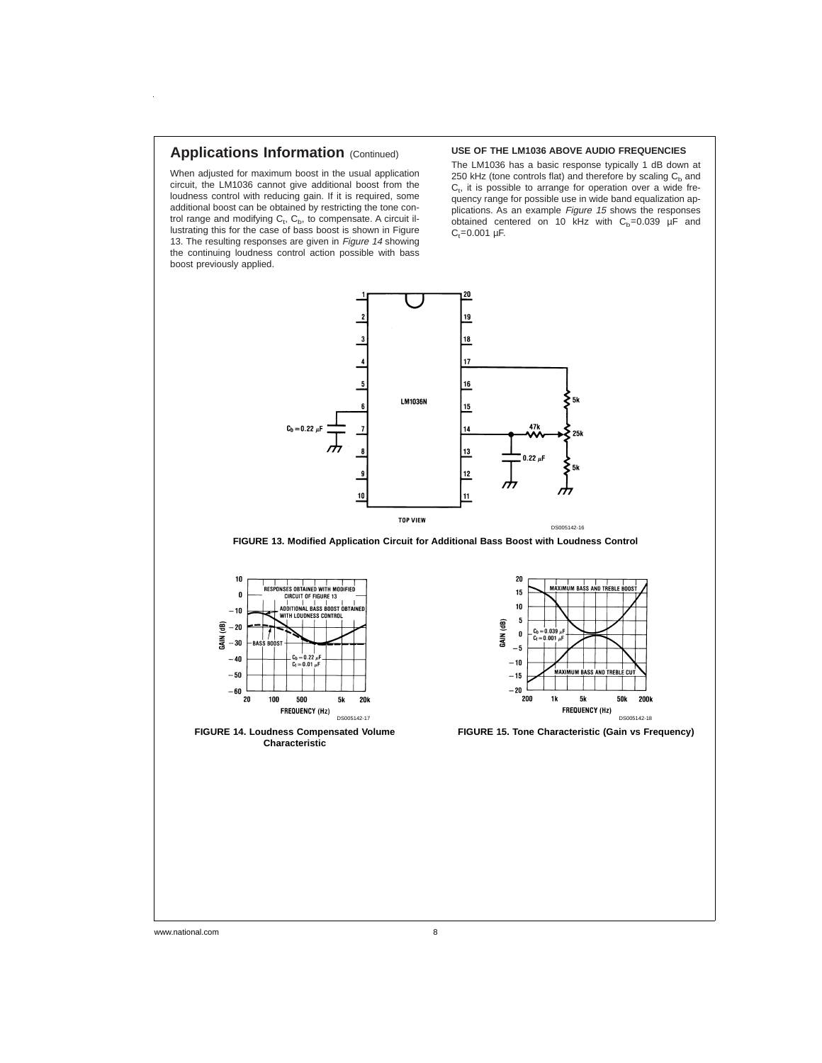# **Applications Information (Continued)**

When adjusted for maximum boost in the usual application circuit, the LM1036 cannot give additional boost from the loudness control with reducing gain. If it is required, some additional boost can be obtained by restricting the tone control range and modifying  $C_t$ ,  $C_b$ , to compensate. A circuit illustrating this for the case of bass boost is shown in Figure 13. The resulting responses are given in Figure 14 showing the continuing loudness control action possible with bass boost previously applied.

#### **USE OF THE LM1036 ABOVE AUDIO FREQUENCIES**

The LM1036 has a basic response typically 1 dB down at 250 kHz (tone controls flat) and therefore by scaling  $C<sub>b</sub>$  and  $C_t$ , it is possible to arrange for operation over a wide frequency range for possible use in wide band equalization applications. As an example Figure 15 shows the responses obtained centered on 10 kHz with  $C_b$ =0.039  $\mu$ F and  $C_t = 0.001$  µF.







**FIGURE 14. Loudness Compensated Volume Characteristic**



**FIGURE 15. Tone Characteristic (Gain vs Frequency)**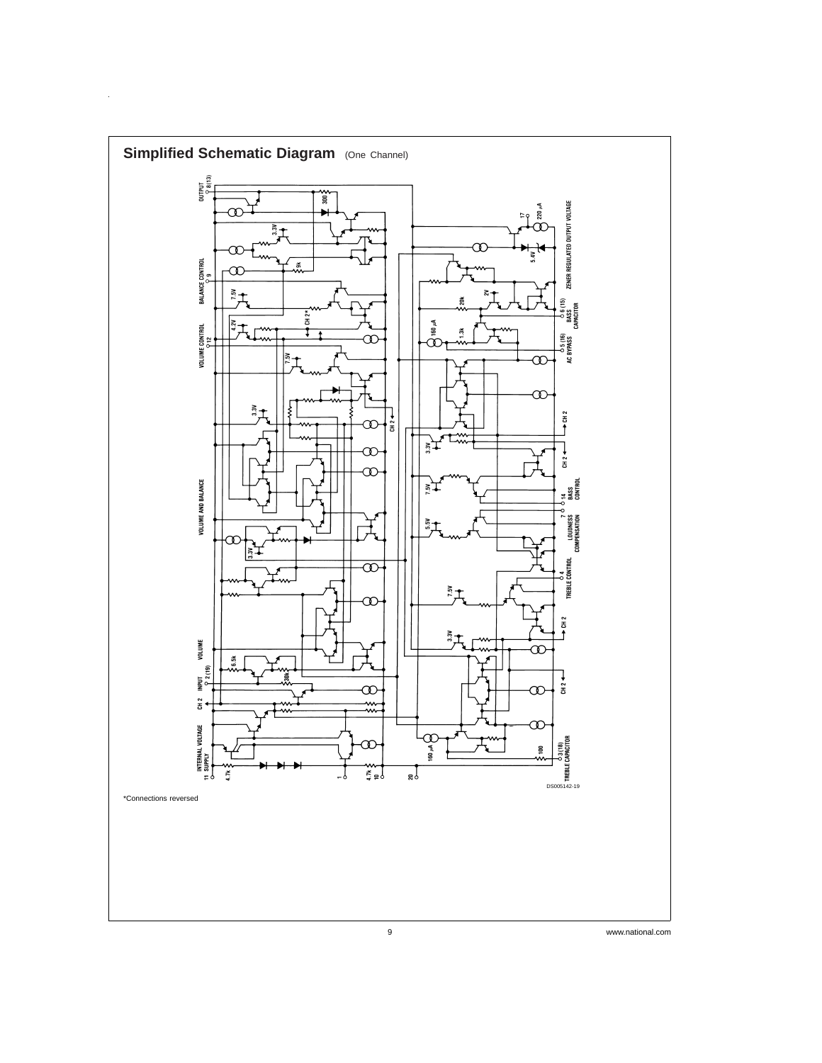

 $\hat{\mathcal{A}}$